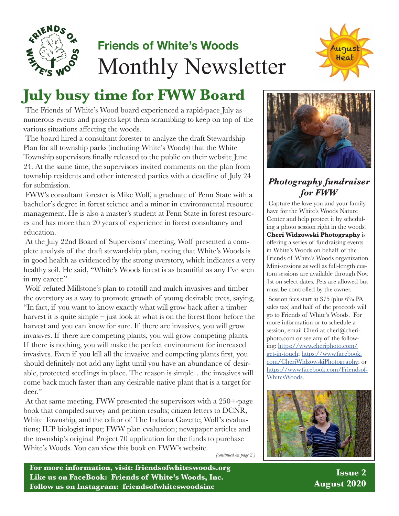

# **Friends of White's Woods** Monthly Newsletter



# **July busy time for FWW Board**

The Friends of White's Wood board experienced a rapid-pace July as numerous events and projects kept them scrambling to keep on top of the various situations affecting the woods.

The board hired a consultant forester to analyze the draft Stewardship Plan for all township parks (including White's Woods) that the White Township supervisors finally released to the public on their website June 24. At the same time, the supervisors invited comments on the plan from township residents and other interested parties with a deadline of July 24 for submission.

FWW's consultant forester is Mike Wolf, a graduate of Penn State with a bachelor's degree in forest science and a minor in environmental resource management. He is also a master's student at Penn State in forest resources and has more than 20 years of experience in forest consultancy and education.

At the July 22nd Board of Supervisors' meeting, Wolf presented a complete analysis of the draft stewardship plan, noting that White's Woods is in good health as evidenced by the strong overstory, which indicates a very healthy soil. He said, "White's Woods forest is as beautiful as any I've seen in my career."

Wolf refuted Millstone's plan to rototill and mulch invasives and timber the overstory as a way to promote growth of young desirable trees, saying, "In fact, if you want to know exactly what will grow back after a timber harvest it is quite simple – just look at what is on the forest floor before the harvest and you can know for sure. If there are invasives, you will grow invasives. If there are competing plants, you will grow competing plants. If there is nothing, you will make the perfect environment for increased invasives. Even if you kill all the invasive and competing plants first, you should definitely not add any light until you have an abundance of desirable, protected seedlings in place. The reason is simple…the invasives will come back much faster than any desirable native plant that is a target for deer."

At that same meeting, FWW presented the supervisors with a 250+-page book that compiled survey and petition results; citizen letters to DCNR, White Township, and the editor of The Indiana Gazette; Wolf 's evaluations; IUP biologist input; FWW plan evaluation; newspaper articles and the township's original Project 70 application for the funds to purchase White's Woods. You can view this book on FWW's website.

*(continued on page 2 )*

**For more information, visit: friendsofwhiteswoods.org Like us on FaceBook: Friends of White's Woods, Inc. Follow us on Instagram: friendsofwhiteswoodsinc**



## *Photography fundraiser for FWW*

Capture the love you and your family have for the White's Woods Nature Center and help protect it by scheduling a photo session right in the woods! **Cheri Widzowski Photography** is offering a series of fundraising events in White's Woods on behalf of the Friends of White's Woods organization. Mini-sessions as well as full-length custom sessions are available through Nov. 1st on select dates. Pets are allowed but must be controlled by the owner.

Session fees start at \$75 (plus 6% PA sales tax) and half of the proceeds will go to Friends of White's Woods. For more information or to schedule a session, email Cheri at cheri@cheriphoto.com or see any of the following: https://www.cheriphoto.com/ get-in-touch; https://www.facebook. com/CheriWidzowskiPhotography; or https://www.facebook.com/Friendsof-WhitesWoods.



**Issue 2 August 2020**